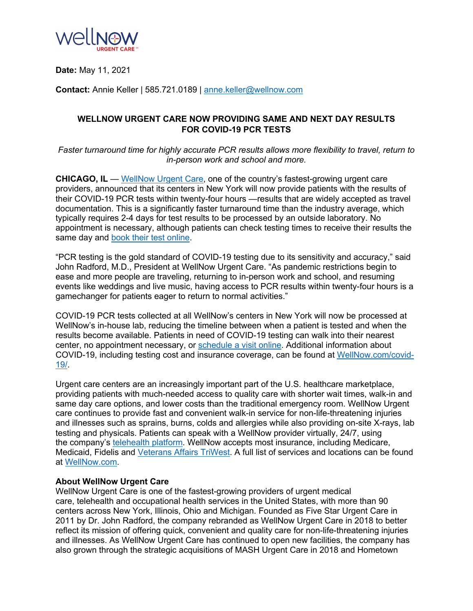

**Date:** May 11, 2021

**Contact:** Annie Keller | 585.721.0189 | [anne.keller@wellnow.com](mailto:anne.keller@wellnow.com)

## **WELLNOW URGENT CARE NOW PROVIDING SAME AND NEXT DAY RESULTS FOR COVID-19 PCR TESTS**

*Faster turnaround time for highly accurate PCR results allows more flexibility to travel, return to in-person work and school and more.*

**CHICAGO, IL** — [WellNow Urgent Care](https://wellnow.com/), one of the country's fastest-growing urgent care providers, announced that its centers in New York will now provide patients with the results of their COVID-19 PCR tests within twenty-four hours —results that are widely accepted as travel documentation. This is a significantly faster turnaround time than the industry average, which typically requires 2-4 days for test results to be processed by an outside laboratory. No appointment is necessary, although patients can check testing times to receive their results the same day and [book their test online](https://wellnow.com/location-state/ny/).

"PCR testing is the gold standard of COVID-19 testing due to its sensitivity and accuracy," said John Radford, M.D., President at WellNow Urgent Care. "As pandemic restrictions begin to ease and more people are traveling, returning to in-person work and school, and resuming events like weddings and live music, having access to PCR results within twenty-four hours is a gamechanger for patients eager to return to normal activities."

COVID-19 PCR tests collected at all WellNow's centers in New York will now be processed at WellNow's in-house lab, reducing the timeline between when a patient is tested and when the results become available. Patients in need of COVID-19 testing can walk into their nearest center, no appointment necessary, or [schedule a visit online](https://wellnow.com/location-state/ny/). Additional information about COVID-19, including testing cost and insurance coverage, can be found at [WellNow.com/covid](http://wellnow.com/covid-19/)-[19/](http://wellnow.com/covid-19/).

Urgent care centers are an increasingly important part of the U.S. healthcare marketplace, providing patients with much-needed access to quality care with shorter wait times, walk-in and same day care options, and lower costs than the traditional emergency room. WellNow Urgent care continues to provide fast and convenient walk-in service for non-life-threatening injuries and illnesses such as sprains, burns, colds and allergies while also providing on-site X-rays, lab testing and physicals. Patients can speak with a WellNow provider virtually, 24/7, using the company's [telehealth platform](https://wellnow.com/services/wellnow-virtual-medical/). WellNow accepts most insurance, including Medicare, Medicaid, Fidelis and [Veterans Affairs TriWest](https://wellnow.com/your-visit/veterans/). A full list of services and locations can be found at [WellNow.com](http://www.wellnow.com/).

## **About WellNow Urgent Care**

WellNow Urgent Care is one of the fastest-growing providers of urgent medical care, telehealth and occupational health services in the United States, with more than 90 centers across New York, Illinois, Ohio and Michigan. Founded as Five Star Urgent Care in 2011 by Dr. John Radford, the company rebranded as WellNow Urgent Care in 2018 to better reflect its mission of offering quick, convenient and quality care for non-life-threatening injuries and illnesses. As WellNow Urgent Care has continued to open new facilities, the company has also grown through the strategic acquisitions of MASH Urgent Care in 2018 and Hometown